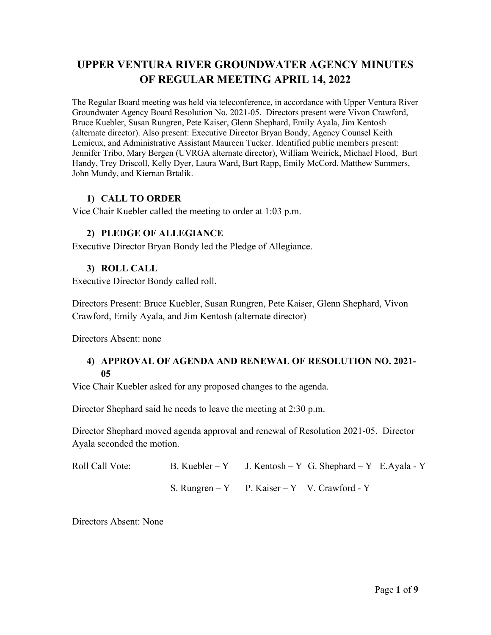# **UPPER VENTURA RIVER GROUNDWATER AGENCY MINUTES OF REGULAR MEETING APRIL 14, 2022**

The Regular Board meeting was held via teleconference, in accordance with Upper Ventura River Groundwater Agency Board Resolution No. 2021-05. Directors present were Vivon Crawford, Bruce Kuebler, Susan Rungren, Pete Kaiser, Glenn Shephard, Emily Ayala, Jim Kentosh (alternate director). Also present: Executive Director Bryan Bondy, Agency Counsel Keith Lemieux, and Administrative Assistant Maureen Tucker. Identified public members present: Jennifer Tribo, Mary Bergen (UVRGA alternate director), William Weirick, Michael Flood, Burt Handy, Trey Driscoll, Kelly Dyer, Laura Ward, Burt Rapp, Emily McCord, Matthew Summers, John Mundy, and Kiernan Brtalik.

### **1) CALL TO ORDER**

Vice Chair Kuebler called the meeting to order at 1:03 p.m.

#### **2) PLEDGE OF ALLEGIANCE**

Executive Director Bryan Bondy led the Pledge of Allegiance.

#### **3) ROLL CALL**

Executive Director Bondy called roll.

Directors Present: Bruce Kuebler, Susan Rungren, Pete Kaiser, Glenn Shephard, Vivon Crawford, Emily Ayala, and Jim Kentosh (alternate director)

Directors Absent: none

## **4) APPROVAL OF AGENDA AND RENEWAL OF RESOLUTION NO. 2021- 05**

Vice Chair Kuebler asked for any proposed changes to the agenda.

Director Shephard said he needs to leave the meeting at 2:30 p.m.

Director Shephard moved agenda approval and renewal of Resolution 2021-05. Director Ayala seconded the motion.

Roll Call Vote: B. Kuebler – Y J. Kentosh – Y G. Shephard – Y E. Ayala - Y S. Rungren – Y P. Kaiser – Y V. Crawford - Y

Directors Absent: None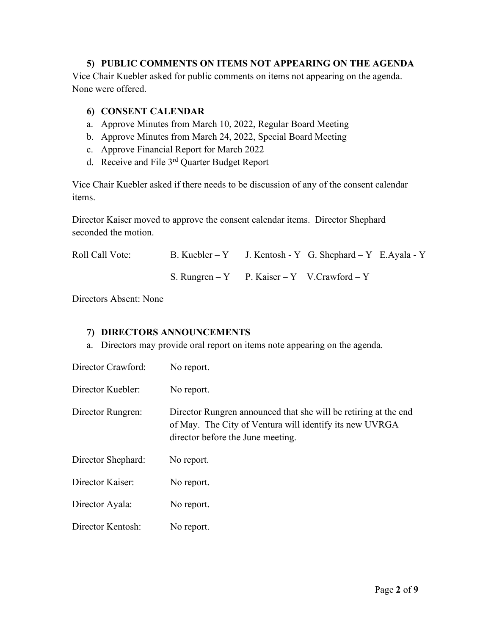### **5) PUBLIC COMMENTS ON ITEMS NOT APPEARING ON THE AGENDA**

Vice Chair Kuebler asked for public comments on items not appearing on the agenda. None were offered.

#### **6) CONSENT CALENDAR**

- a. Approve Minutes from March 10, 2022, Regular Board Meeting
- b. Approve Minutes from March 24, 2022, Special Board Meeting
- c. Approve Financial Report for March 2022
- d. Receive and File 3<sup>rd</sup> Quarter Budget Report

Vice Chair Kuebler asked if there needs to be discussion of any of the consent calendar items.

Director Kaiser moved to approve the consent calendar items. Director Shephard seconded the motion.

| Roll Call Vote: | B. Kuebler – Y J. Kentosh - Y G. Shephard – Y E. Ayala - Y |  |  |
|-----------------|------------------------------------------------------------|--|--|
|                 | S. Rungren – Y P. Kaiser – Y V. Crawford – Y               |  |  |

Directors Absent: None

### **7) DIRECTORS ANNOUNCEMENTS**

a. Directors may provide oral report on items note appearing on the agenda.

| Director Crawford: | No report.                                                                                                                                                      |
|--------------------|-----------------------------------------------------------------------------------------------------------------------------------------------------------------|
| Director Kuebler:  | No report.                                                                                                                                                      |
| Director Rungren:  | Director Rungren announced that she will be retiring at the end<br>of May. The City of Ventura will identify its new UVRGA<br>director before the June meeting. |
| Director Shephard: | No report.                                                                                                                                                      |
| Director Kaiser:   | No report.                                                                                                                                                      |
| Director Ayala:    | No report.                                                                                                                                                      |
| Director Kentosh:  | No report.                                                                                                                                                      |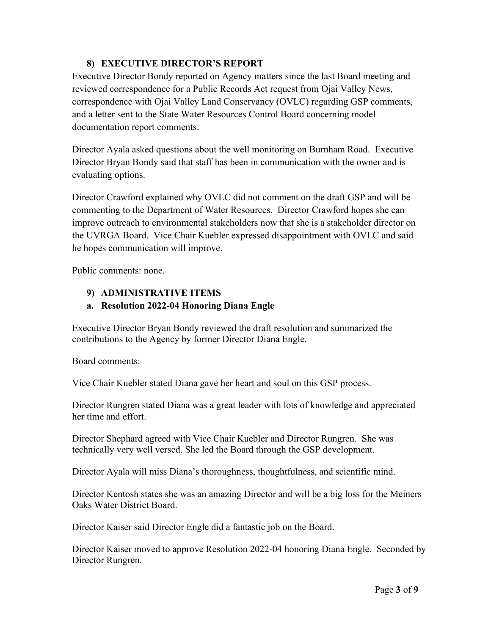## **8) EXECUTIVE DIRECTOR'S REPORT**

Executive Director Bondy reported on Agency matters since the last Board meeting and reviewed correspondence for a Public Records Act request from Ojai Valley News, correspondence with Ojai Valley Land Conservancy (OVLC) regarding GSP comments, and a letter sent to the State Water Resources Control Board concerning model documentation report comments.

Director Ayala asked questions about the well monitoring on Burnham Road. Executive Director Bryan Bondy said that staff has been in communication with the owner and is evaluating options.

Director Crawford explained why OVLC did not comment on the draft GSP and will be commenting to the Department of Water Resources. Director Crawford hopes she can improve outreach to environmental stakeholders now that she is a stakeholder director on the UVRGA Board. Vice Chair Kuebler expressed disappointment with OVLC and said he hopes communication will improve.

Public comments: none.

# **9) ADMINISTRATIVE ITEMS**

# **a. Resolution 2022-04 Honoring Diana Engle**

Executive Director Bryan Bondy reviewed the draft resolution and summarized the contributions to the Agency by former Director Diana Engle.

Board comments:

Vice Chair Kuebler stated Diana gave her heart and soul on this GSP process.

Director Rungren stated Diana was a great leader with lots of knowledge and appreciated her time and effort.

Director Shephard agreed with Vice Chair Kuebler and Director Rungren. She was technically very well versed. She led the Board through the GSP development.

Director Ayala will miss Diana's thoroughness, thoughtfulness, and scientific mind.

Director Kentosh states she was an amazing Director and will be a big loss for the Meiners Oaks Water District Board.

Director Kaiser said Director Engle did a fantastic job on the Board.

Director Kaiser moved to approve Resolution 2022-04 honoring Diana Engle. Seconded by Director Rungren.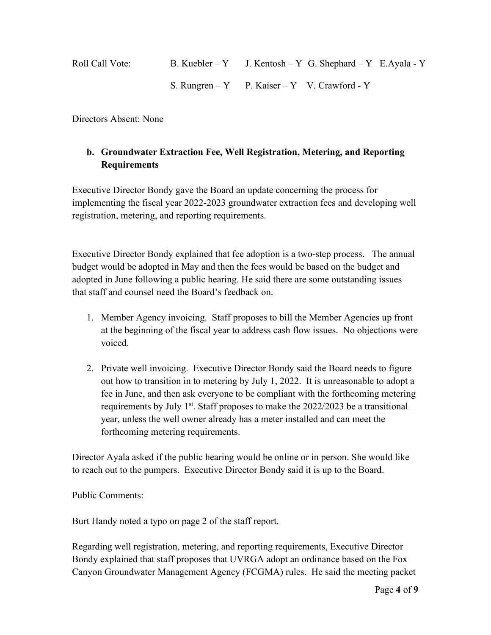| Roll Call Vote: | B. Kuebler – Y J. Kentosh – Y G. Shephard – Y E. Ayala - Y |
|-----------------|------------------------------------------------------------|
|                 | S. Rungren – Y P. Kaiser – Y V. Crawford - Y               |

Directors Absent: None

# **b. Groundwater Extraction Fee, Well Registration, Metering, and Reporting Requirements**

Executive Director Bondy gave the Board an update concerning the process for implementing the fiscal year 2022-2023 groundwater extraction fees and developing well registration, metering, and reporting requirements.

Executive Director Bondy explained that fee adoption is a two-step process. The annual budget would be adopted in May and then the fees would be based on the budget and adopted in June following a public hearing. He said there are some outstanding issues that staff and counsel need the Board's feedback on.

- 1. Member Agency invoicing. Staff proposes to bill the Member Agencies up front at the beginning of the fiscal year to address cash flow issues. No objections were voiced.
- 2. Private well invoicing. Executive Director Bondy said the Board needs to figure out how to transition in to metering by July 1, 2022. It is unreasonable to adopt a fee in June, and then ask everyone to be compliant with the forthcoming metering requirements by July  $1^{st}$ . Staff proposes to make the 2022/2023 be a transitional year, unless the well owner already has a meter installed and can meet the forthcoming metering requirements.

Director Ayala asked if the public hearing would be online or in person. She would like to reach out to the pumpers. Executive Director Bondy said it is up to the Board.

Public Comments:

Burt Handy noted a typo on page 2 of the staff report.

Regarding well registration, metering, and reporting requirements, Executive Director Bondy explained that staff proposes that UVRGA adopt an ordinance based on the Fox Canyon Groundwater Management Agency (FCGMA) rules. He said the meeting packet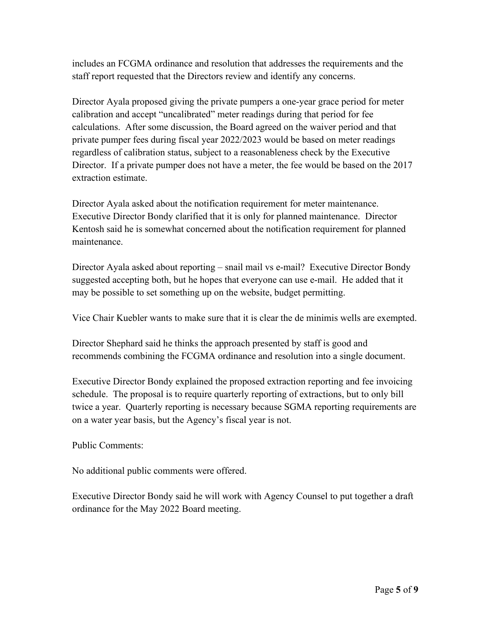includes an FCGMA ordinance and resolution that addresses the requirements and the staff report requested that the Directors review and identify any concerns.

Director Ayala proposed giving the private pumpers a one-year grace period for meter calibration and accept "uncalibrated" meter readings during that period for fee calculations. After some discussion, the Board agreed on the waiver period and that private pumper fees during fiscal year 2022/2023 would be based on meter readings regardless of calibration status, subject to a reasonableness check by the Executive Director. If a private pumper does not have a meter, the fee would be based on the 2017 extraction estimate.

Director Ayala asked about the notification requirement for meter maintenance. Executive Director Bondy clarified that it is only for planned maintenance. Director Kentosh said he is somewhat concerned about the notification requirement for planned maintenance.

Director Ayala asked about reporting – snail mail vs e-mail? Executive Director Bondy suggested accepting both, but he hopes that everyone can use e-mail. He added that it may be possible to set something up on the website, budget permitting.

Vice Chair Kuebler wants to make sure that it is clear the de minimis wells are exempted.

Director Shephard said he thinks the approach presented by staff is good and recommends combining the FCGMA ordinance and resolution into a single document.

Executive Director Bondy explained the proposed extraction reporting and fee invoicing schedule. The proposal is to require quarterly reporting of extractions, but to only bill twice a year. Quarterly reporting is necessary because SGMA reporting requirements are on a water year basis, but the Agency's fiscal year is not.

Public Comments:

No additional public comments were offered.

Executive Director Bondy said he will work with Agency Counsel to put together a draft ordinance for the May 2022 Board meeting.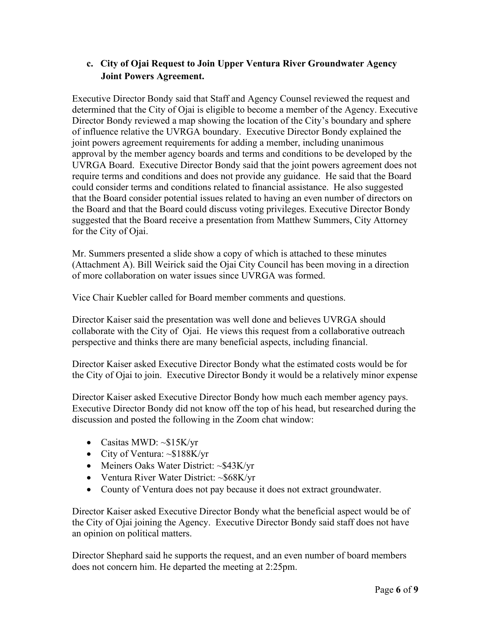# **c. City of Ojai Request to Join Upper Ventura River Groundwater Agency Joint Powers Agreement.**

Executive Director Bondy said that Staff and Agency Counsel reviewed the request and determined that the City of Ojai is eligible to become a member of the Agency. Executive Director Bondy reviewed a map showing the location of the City's boundary and sphere of influence relative the UVRGA boundary. Executive Director Bondy explained the joint powers agreement requirements for adding a member, including unanimous approval by the member agency boards and terms and conditions to be developed by the UVRGA Board. Executive Director Bondy said that the joint powers agreement does not require terms and conditions and does not provide any guidance. He said that the Board could consider terms and conditions related to financial assistance. He also suggested that the Board consider potential issues related to having an even number of directors on the Board and that the Board could discuss voting privileges. Executive Director Bondy suggested that the Board receive a presentation from Matthew Summers, City Attorney for the City of Ojai.

Mr. Summers presented a slide show a copy of which is attached to these minutes (Attachment A). Bill Weirick said the Ojai City Council has been moving in a direction of more collaboration on water issues since UVRGA was formed.

Vice Chair Kuebler called for Board member comments and questions.

Director Kaiser said the presentation was well done and believes UVRGA should collaborate with the City of Ojai. He views this request from a collaborative outreach perspective and thinks there are many beneficial aspects, including financial.

Director Kaiser asked Executive Director Bondy what the estimated costs would be for the City of Ojai to join. Executive Director Bondy it would be a relatively minor expense

Director Kaiser asked Executive Director Bondy how much each member agency pays. Executive Director Bondy did not know off the top of his head, but researched during the discussion and posted the following in the Zoom chat window:

- Casitas MWD: ~\$15K/yr
- City of Ventura: ~\$188K/yr
- Meiners Oaks Water District: ~\$43K/yr
- Ventura River Water District: ~\$68K/yr
- County of Ventura does not pay because it does not extract groundwater.

Director Kaiser asked Executive Director Bondy what the beneficial aspect would be of the City of Ojai joining the Agency. Executive Director Bondy said staff does not have an opinion on political matters.

Director Shephard said he supports the request, and an even number of board members does not concern him. He departed the meeting at 2:25pm.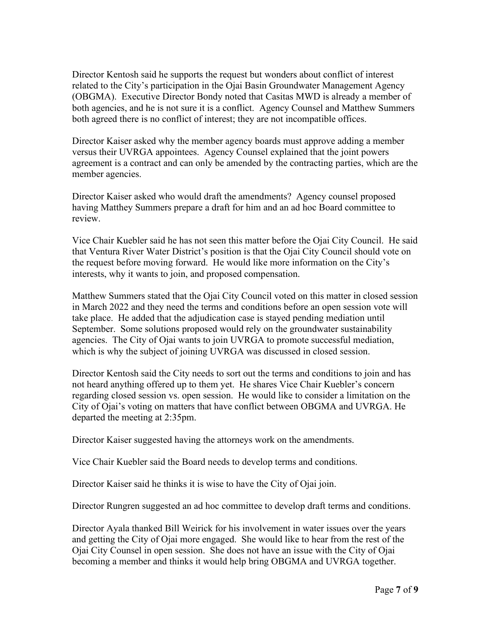Director Kentosh said he supports the request but wonders about conflict of interest related to the City's participation in the Ojai Basin Groundwater Management Agency (OBGMA). Executive Director Bondy noted that Casitas MWD is already a member of both agencies, and he is not sure it is a conflict. Agency Counsel and Matthew Summers both agreed there is no conflict of interest; they are not incompatible offices.

Director Kaiser asked why the member agency boards must approve adding a member versus their UVRGA appointees. Agency Counsel explained that the joint powers agreement is a contract and can only be amended by the contracting parties, which are the member agencies.

Director Kaiser asked who would draft the amendments? Agency counsel proposed having Matthey Summers prepare a draft for him and an ad hoc Board committee to review.

Vice Chair Kuebler said he has not seen this matter before the Ojai City Council. He said that Ventura River Water District's position is that the Ojai City Council should vote on the request before moving forward. He would like more information on the City's interests, why it wants to join, and proposed compensation.

Matthew Summers stated that the Ojai City Council voted on this matter in closed session in March 2022 and they need the terms and conditions before an open session vote will take place. He added that the adjudication case is stayed pending mediation until September. Some solutions proposed would rely on the groundwater sustainability agencies. The City of Ojai wants to join UVRGA to promote successful mediation, which is why the subject of joining UVRGA was discussed in closed session.

Director Kentosh said the City needs to sort out the terms and conditions to join and has not heard anything offered up to them yet. He shares Vice Chair Kuebler's concern regarding closed session vs. open session. He would like to consider a limitation on the City of Ojai's voting on matters that have conflict between OBGMA and UVRGA. He departed the meeting at 2:35pm.

Director Kaiser suggested having the attorneys work on the amendments.

Vice Chair Kuebler said the Board needs to develop terms and conditions.

Director Kaiser said he thinks it is wise to have the City of Ojai join.

Director Rungren suggested an ad hoc committee to develop draft terms and conditions.

Director Ayala thanked Bill Weirick for his involvement in water issues over the years and getting the City of Ojai more engaged. She would like to hear from the rest of the Ojai City Counsel in open session. She does not have an issue with the City of Ojai becoming a member and thinks it would help bring OBGMA and UVRGA together.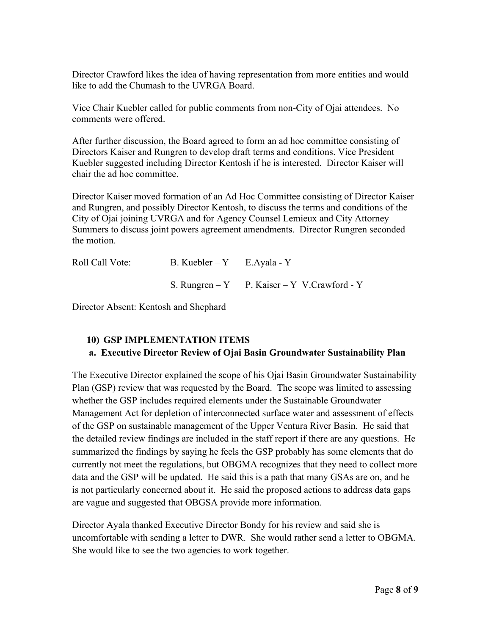Director Crawford likes the idea of having representation from more entities and would like to add the Chumash to the UVRGA Board.

Vice Chair Kuebler called for public comments from non-City of Ojai attendees. No comments were offered.

After further discussion, the Board agreed to form an ad hoc committee consisting of Directors Kaiser and Rungren to develop draft terms and conditions. Vice President Kuebler suggested including Director Kentosh if he is interested. Director Kaiser will chair the ad hoc committee.

Director Kaiser moved formation of an Ad Hoc Committee consisting of Director Kaiser and Rungren, and possibly Director Kentosh, to discuss the terms and conditions of the City of Ojai joining UVRGA and for Agency Counsel Lemieux and City Attorney Summers to discuss joint powers agreement amendments. Director Rungren seconded the motion.

| Roll Call Vote: | B. Kuebler – Y E. Ayala - Y |                                               |
|-----------------|-----------------------------|-----------------------------------------------|
|                 |                             | S. Rungren $-Y$ P. Kaiser – Y V. Crawford - Y |

Director Absent: Kentosh and Shephard

# **10) GSP IMPLEMENTATION ITEMS a. Executive Director Review of Ojai Basin Groundwater Sustainability Plan**

The Executive Director explained the scope of his Ojai Basin Groundwater Sustainability Plan (GSP) review that was requested by the Board. The scope was limited to assessing whether the GSP includes required elements under the Sustainable Groundwater Management Act for depletion of interconnected surface water and assessment of effects of the GSP on sustainable management of the Upper Ventura River Basin. He said that the detailed review findings are included in the staff report if there are any questions. He summarized the findings by saying he feels the GSP probably has some elements that do currently not meet the regulations, but OBGMA recognizes that they need to collect more data and the GSP will be updated. He said this is a path that many GSAs are on, and he is not particularly concerned about it. He said the proposed actions to address data gaps are vague and suggested that OBGSA provide more information.

Director Ayala thanked Executive Director Bondy for his review and said she is uncomfortable with sending a letter to DWR. She would rather send a letter to OBGMA. She would like to see the two agencies to work together.